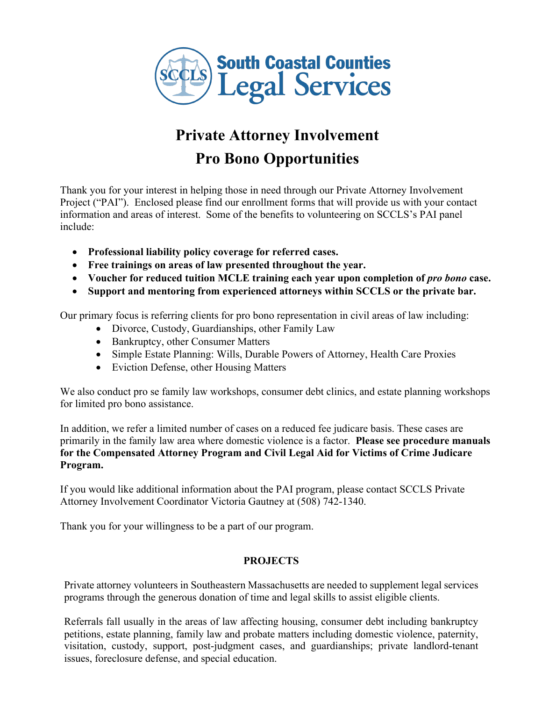

# **Private Attorney Involvement Pro Bono Opportunities**

Thank you for your interest in helping those in need through our Private Attorney Involvement Project ("PAI"). Enclosed please find our enrollment forms that will provide us with your contact information and areas of interest. Some of the benefits to volunteering on SCCLS's PAI panel include:

- **Professional liability policy coverage for referred cases.**
- **Free trainings on areas of law presented throughout the year.**
- Voucher for reduced tuition MCLE training each year upon completion of *pro bono* case.
- **Support and mentoring from experienced attorneys within SCCLS or the private bar.**

Our primary focus is referring clients for pro bono representation in civil areas of law including:

- Divorce, Custody, Guardianships, other Family Law
- Bankruptcy, other Consumer Matters
- Simple Estate Planning: Wills, Durable Powers of Attorney, Health Care Proxies
- Eviction Defense, other Housing Matters

We also conduct pro se family law workshops, consumer debt clinics, and estate planning workshops for limited pro bono assistance.

In addition, we refer a limited number of cases on a reduced fee judicare basis. These cases are primarily in the family law area where domestic violence is a factor. **Please see procedure manuals for the Compensated Attorney Program and Civil Legal Aid for Victims of Crime Judicare Program.**

If you would like additional information about the PAI program, please contact SCCLS Private Attorney Involvement Coordinator Victoria Gautney at (508) 742-1340.

Thank you for your willingness to be a part of our program.

## **PROJECTS**

Private attorney volunteers in Southeastern Massachusetts are needed to supplement legal services programs through the generous donation of time and legal skills to assist eligible clients.

Referrals fall usually in the areas of law affecting housing, consumer debt including bankruptcy petitions, estate planning, family law and probate matters including domestic violence, paternity, visitation, custody, support, post-judgment cases, and guardianships; private landlord-tenant issues, foreclosure defense, and special education.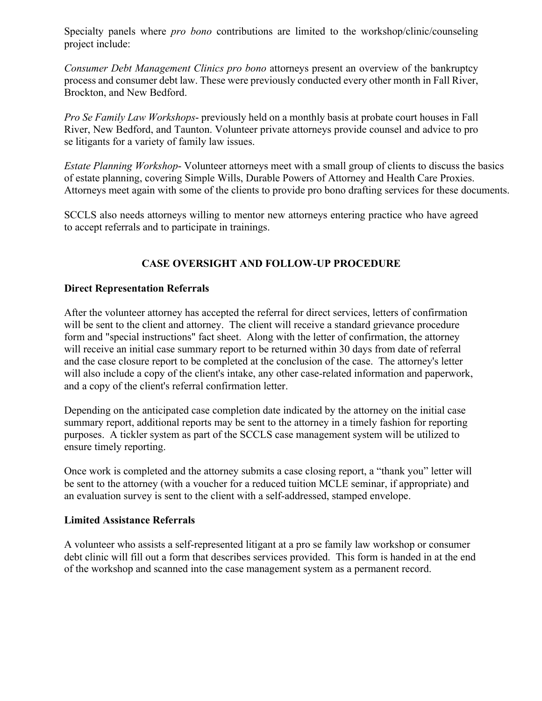Specialty panels where *pro bono* contributions are limited to the workshop/clinic/counseling project include:

*Consumer Debt Management Clinics pro bono* attorneys present an overview of the bankruptcy process and consumer debt law. These were previously conducted every other month in Fall River, Brockton, and New Bedford.

*Pro Se Family Law Workshops*- previously held on a monthly basis at probate court houses in Fall River, New Bedford, and Taunton. Volunteer private attorneys provide counsel and advice to pro se litigants for a variety of family law issues.

*Estate Planning Workshop*- Volunteer attorneys meet with a small group of clients to discuss the basics of estate planning, covering Simple Wills, Durable Powers of Attorney and Health Care Proxies. Attorneys meet again with some of the clients to provide pro bono drafting services for these documents.

SCCLS also needs attorneys willing to mentor new attorneys entering practice who have agreed to accept referrals and to participate in trainings.

# **CASE OVERSIGHT AND FOLLOW-UP PROCEDURE**

### **Direct Representation Referrals**

After the volunteer attorney has accepted the referral for direct services, letters of confirmation will be sent to the client and attorney. The client will receive a standard grievance procedure form and "special instructions" fact sheet. Along with the letter of confirmation, the attorney will receive an initial case summary report to be returned within 30 days from date of referral and the case closure report to be completed at the conclusion of the case. The attorney's letter will also include a copy of the client's intake, any other case-related information and paperwork, and a copy of the client's referral confirmation letter.

Depending on the anticipated case completion date indicated by the attorney on the initial case summary report, additional reports may be sent to the attorney in a timely fashion for reporting purposes. A tickler system as part of the SCCLS case management system will be utilized to ensure timely reporting.

Once work is completed and the attorney submits a case closing report, a "thank you" letter will be sent to the attorney (with a voucher for a reduced tuition MCLE seminar, if appropriate) and an evaluation survey is sent to the client with a self-addressed, stamped envelope.

#### **Limited Assistance Referrals**

A volunteer who assists a self-represented litigant at a pro se family law workshop or consumer debt clinic will fill out a form that describes services provided. This form is handed in at the end of the workshop and scanned into the case management system as a permanent record.